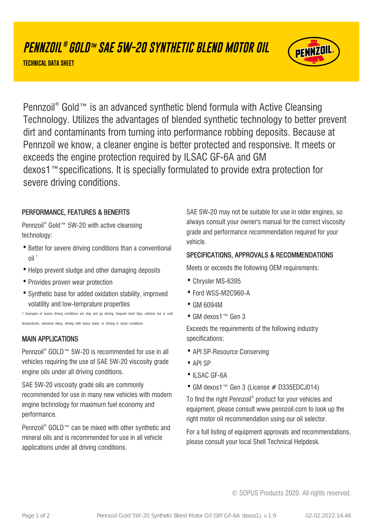# **PENNZOIL ® GOLD™ SAE 5W-20 SYNTHETIC BLEND MOTOR OIL**

**TECHNICAL DATA SHEET**



Pennzoil® Gold™ is an advanced synthetic blend formula with Active Cleansing Technology. Utilizes the advantages of blended synthetic technology to better prevent dirt and contaminants from turning into performance robbing deposits. Because at Pennzoil we know, a cleaner engine is better protected and responsive. It meets or exceeds the engine protection required by ILSAC GF-6A and GM dexos1™specifications. It is specially formulated to provide extra protection for severe driving conditions.

### PERFORMANCE, FEATURES & BENEFITS

Pennzoil<sup>®</sup> Gold™ 5W-20 with active cleansing technology:

- Better for severe driving conditions than a conventional  $\frac{1}{2}$
- · Helps prevent sludge and other damaging deposits
- · Provides proven wear protection
- Synthetic base for added oxidation stability, improved volatility and low-temprature properties

1 Examples of severe driving conditions are stop and go driving, frequent short trips, extreme hot or cold temperatures, extensive idling, driving with heavy loads, or driving in dusty conditions

### MAIN APPLICATIONS

Pennzoil® GOLD™ 5W-20 is recommended for use in all vehicles requiring the use of SAE 5W-20 viscosity grade engine oils under all driving conditions.

SAE 5W-20 viscosity grade oils are commonly recommended for use in many new vehicles with modern engine technology for maximum fuel economy and performance.

Pennzoil<sup>®</sup> GOLD™ can be mixed with other synthetic and mineral oils and is recommended for use in all vehicle applications under all driving conditions.

SAE 5W-20 may not be suitable for use in older engines, so always consult your owner's manual for the correct viscosity grade and performance recommendation required for your vehicle.

### SPECIFICATIONS, APPROVALS & RECOMMENDATIONS

Meets or exceeds the following OEM requirements:

- · Chrysler MS-6395
- · Ford WSS-M2C960-A
- · GM 6094M
- · GM dexos1™ Gen 3

Exceeds the requirements of the following industry specifications:

- · API SP-Resource Conserving
- · API SP
- ·ILSAC GF-6A
- · GM dexos1™ Gen 3 (License # D335EDCJ014)

To find the right Pennzoil® product for your vehicles and equipment, please consult www.pennzoil.com to look up the right motor oil recommendation using our oil selector.

For a full listing of equipment approvals and recommendations, please consult your local Shell Technical Helpdesk.

© SOPUS Products 2020. All rights reserved.